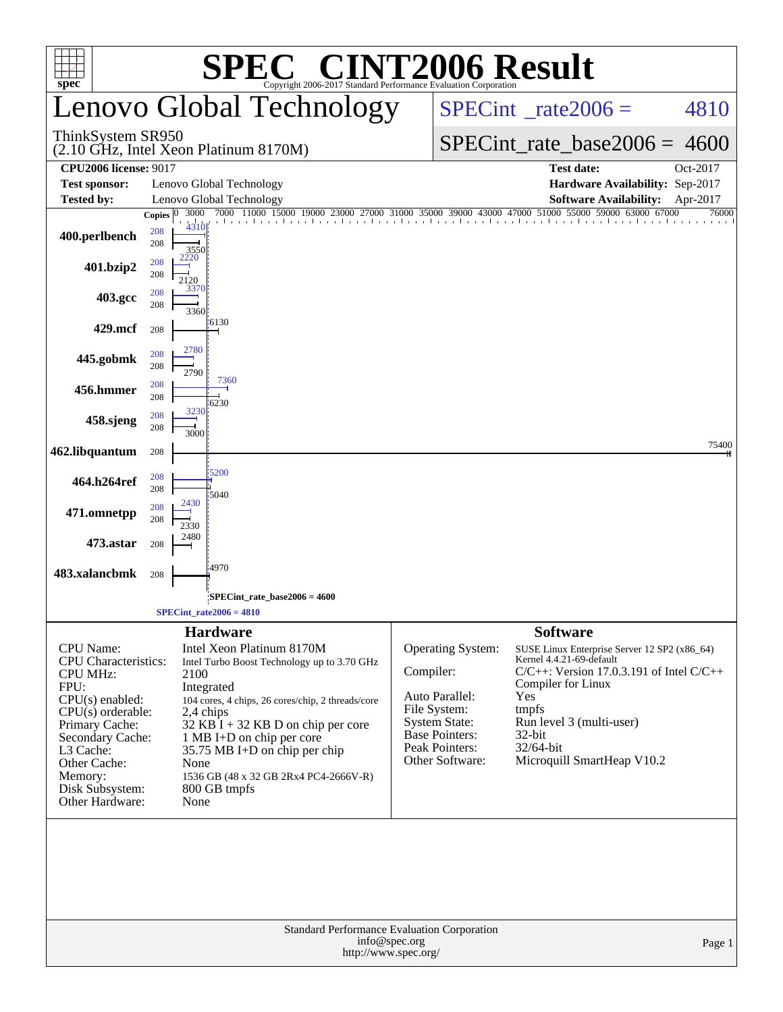| <b>C® CINT2006 Result</b><br>SPE<br>$spec^*$<br>Convright 2006-2017 Standard Performance Evaluation Corporation                                                                                                                            |                                    |                                                                                                                                                                                                                                                                                                                         |                                                                                                                                                        |                                                                                                                                                                                                                                                     |          |  |  |  |  |  |
|--------------------------------------------------------------------------------------------------------------------------------------------------------------------------------------------------------------------------------------------|------------------------------------|-------------------------------------------------------------------------------------------------------------------------------------------------------------------------------------------------------------------------------------------------------------------------------------------------------------------------|--------------------------------------------------------------------------------------------------------------------------------------------------------|-----------------------------------------------------------------------------------------------------------------------------------------------------------------------------------------------------------------------------------------------------|----------|--|--|--|--|--|
|                                                                                                                                                                                                                                            |                                    | Lenovo Global Technology                                                                                                                                                                                                                                                                                                |                                                                                                                                                        | $SPECint^{\circ}$ rate $2006 =$                                                                                                                                                                                                                     | 4810     |  |  |  |  |  |
| ThinkSystem SR950                                                                                                                                                                                                                          |                                    | (2.10 GHz, Intel Xeon Platinum 8170M)                                                                                                                                                                                                                                                                                   |                                                                                                                                                        | $SPECint$ rate_base2006 =                                                                                                                                                                                                                           | 4600     |  |  |  |  |  |
| <b>CPU2006 license: 9017</b>                                                                                                                                                                                                               |                                    |                                                                                                                                                                                                                                                                                                                         |                                                                                                                                                        | <b>Test date:</b>                                                                                                                                                                                                                                   | Oct-2017 |  |  |  |  |  |
| <b>Test sponsor:</b><br><b>Tested by:</b>                                                                                                                                                                                                  |                                    | Lenovo Global Technology<br>Lenovo Global Technology                                                                                                                                                                                                                                                                    |                                                                                                                                                        | Hardware Availability: Sep-2017<br><b>Software Availability:</b>                                                                                                                                                                                    | Apr-2017 |  |  |  |  |  |
|                                                                                                                                                                                                                                            | 3000<br>Copies $ 0 $               | 7000 11000 15000 19000 23000                                                                                                                                                                                                                                                                                            |                                                                                                                                                        | 27000 31000 35000 39000 43000 47000 51000 55000 59000 63000 67000                                                                                                                                                                                   | 76000    |  |  |  |  |  |
| 400.perlbench                                                                                                                                                                                                                              | 4310<br>208<br>208<br>3550         |                                                                                                                                                                                                                                                                                                                         |                                                                                                                                                        |                                                                                                                                                                                                                                                     |          |  |  |  |  |  |
| 401.bzip2                                                                                                                                                                                                                                  | 2220<br>208<br>208<br>2120<br>3370 |                                                                                                                                                                                                                                                                                                                         |                                                                                                                                                        |                                                                                                                                                                                                                                                     |          |  |  |  |  |  |
| 403.gcc                                                                                                                                                                                                                                    | 208<br>208<br>3360                 |                                                                                                                                                                                                                                                                                                                         |                                                                                                                                                        |                                                                                                                                                                                                                                                     |          |  |  |  |  |  |
| 429.mcf                                                                                                                                                                                                                                    | 208                                | $-6130$                                                                                                                                                                                                                                                                                                                 |                                                                                                                                                        |                                                                                                                                                                                                                                                     |          |  |  |  |  |  |
| 445.gobmk                                                                                                                                                                                                                                  | 2780<br>208<br>208<br>2790         |                                                                                                                                                                                                                                                                                                                         |                                                                                                                                                        |                                                                                                                                                                                                                                                     |          |  |  |  |  |  |
| 456.hmmer                                                                                                                                                                                                                                  | 208<br>208                         | 7360<br>16230                                                                                                                                                                                                                                                                                                           |                                                                                                                                                        |                                                                                                                                                                                                                                                     |          |  |  |  |  |  |
| 458.sjeng                                                                                                                                                                                                                                  | 3230<br>208<br>208<br>3000         |                                                                                                                                                                                                                                                                                                                         |                                                                                                                                                        |                                                                                                                                                                                                                                                     |          |  |  |  |  |  |
| 462.libquantum                                                                                                                                                                                                                             | 208                                |                                                                                                                                                                                                                                                                                                                         |                                                                                                                                                        |                                                                                                                                                                                                                                                     | 75400    |  |  |  |  |  |
| 464.h264ref                                                                                                                                                                                                                                | 208<br>208                         | 5200<br>5040                                                                                                                                                                                                                                                                                                            |                                                                                                                                                        |                                                                                                                                                                                                                                                     |          |  |  |  |  |  |
| 471.omnetpp                                                                                                                                                                                                                                | 2430<br>208<br>208<br>2330         |                                                                                                                                                                                                                                                                                                                         |                                                                                                                                                        |                                                                                                                                                                                                                                                     |          |  |  |  |  |  |
| 473.astar                                                                                                                                                                                                                                  | 2480<br>208                        |                                                                                                                                                                                                                                                                                                                         |                                                                                                                                                        |                                                                                                                                                                                                                                                     |          |  |  |  |  |  |
| 483.xalancbmk                                                                                                                                                                                                                              | 208                                | 4970                                                                                                                                                                                                                                                                                                                    |                                                                                                                                                        |                                                                                                                                                                                                                                                     |          |  |  |  |  |  |
|                                                                                                                                                                                                                                            |                                    | SPECint_rate_base2006 = 4600;<br>$SPECint_rate2006 = 4810$                                                                                                                                                                                                                                                              |                                                                                                                                                        |                                                                                                                                                                                                                                                     |          |  |  |  |  |  |
|                                                                                                                                                                                                                                            |                                    | <b>Hardware</b>                                                                                                                                                                                                                                                                                                         |                                                                                                                                                        | <b>Software</b>                                                                                                                                                                                                                                     |          |  |  |  |  |  |
| <b>CPU</b> Name:<br><b>CPU</b> Characteristics:<br><b>CPU MHz:</b><br>FPU:<br>$CPU(s)$ enabled:<br>$CPU(s)$ orderable:<br>Primary Cache:<br>Secondary Cache:<br>L3 Cache:<br>Other Cache:<br>Memory:<br>Disk Subsystem:<br>Other Hardware: | 2100<br>None<br>None               | Intel Xeon Platinum 8170M<br>Intel Turbo Boost Technology up to 3.70 GHz<br>Integrated<br>104 cores, 4 chips, 26 cores/chip, 2 threads/core<br>2,4 chips<br>$32$ KB I + 32 KB D on chip per core<br>1 MB I+D on chip per core<br>35.75 MB I+D on chip per chip<br>1536 GB (48 x 32 GB 2Rx4 PC4-2666V-R)<br>800 GB tmpfs | Operating System:<br>Compiler:<br>Auto Parallel:<br>File System:<br><b>System State:</b><br><b>Base Pointers:</b><br>Peak Pointers:<br>Other Software: | SUSE Linux Enterprise Server 12 SP2 (x86_64)<br>Kernel 4.4.21-69-default<br>$C/C++$ : Version 17.0.3.191 of Intel $C/C++$<br>Compiler for Linux<br>Yes<br>tmpfs<br>Run level 3 (multi-user)<br>$32$ -bit<br>32/64-bit<br>Microquill SmartHeap V10.2 |          |  |  |  |  |  |
|                                                                                                                                                                                                                                            |                                    | info@spec.org<br>http://www.spec.org/                                                                                                                                                                                                                                                                                   | Standard Performance Evaluation Corporation                                                                                                            |                                                                                                                                                                                                                                                     | Page 1   |  |  |  |  |  |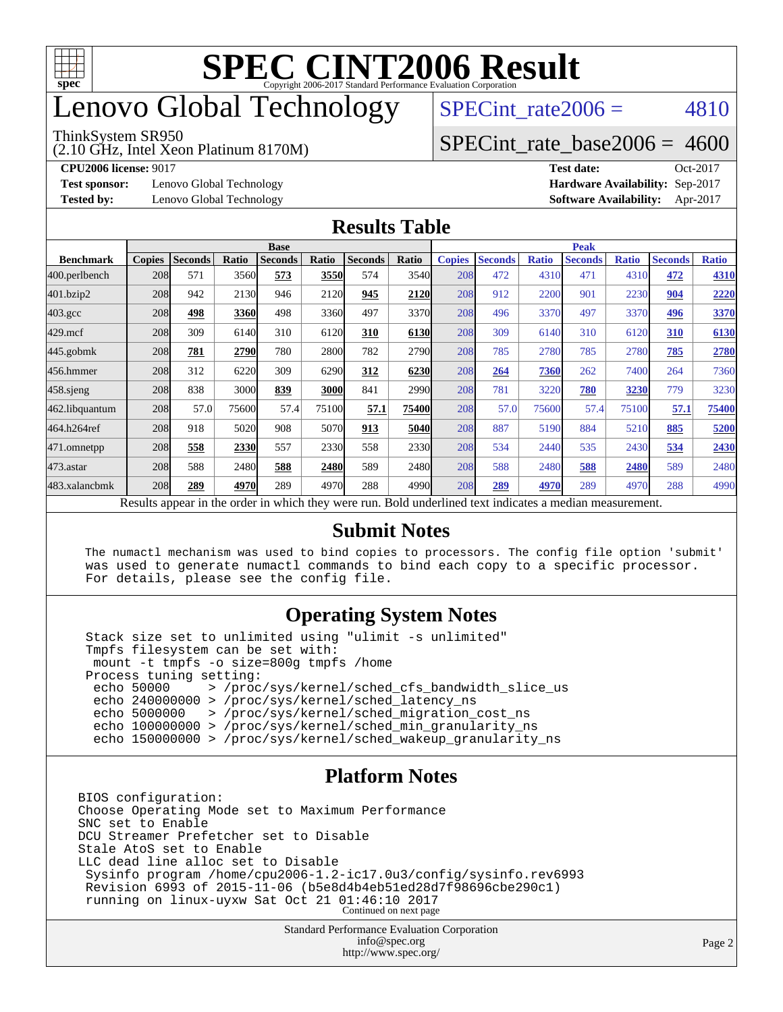

# enovo Global Technology

#### ThinkSystem SR950

(2.10 GHz, Intel Xeon Platinum 8170M)

SPECint rate $2006 = 4810$ 

#### [SPECint\\_rate\\_base2006 =](http://www.spec.org/auto/cpu2006/Docs/result-fields.html#SPECintratebase2006) 4600

**[CPU2006 license:](http://www.spec.org/auto/cpu2006/Docs/result-fields.html#CPU2006license)** 9017 **[Test date:](http://www.spec.org/auto/cpu2006/Docs/result-fields.html#Testdate)** Oct-2017

**[Test sponsor:](http://www.spec.org/auto/cpu2006/Docs/result-fields.html#Testsponsor)** Lenovo Global Technology **[Hardware Availability:](http://www.spec.org/auto/cpu2006/Docs/result-fields.html#HardwareAvailability)** Sep-2017

**[Tested by:](http://www.spec.org/auto/cpu2006/Docs/result-fields.html#Testedby)** Lenovo Global Technology **[Software Availability:](http://www.spec.org/auto/cpu2006/Docs/result-fields.html#SoftwareAvailability)** Apr-2017

#### **[Results Table](http://www.spec.org/auto/cpu2006/Docs/result-fields.html#ResultsTable)**

|                    | <b>Base</b>   |                |       |                |       |                | <b>Peak</b> |               |                |              |                |              |                |              |
|--------------------|---------------|----------------|-------|----------------|-------|----------------|-------------|---------------|----------------|--------------|----------------|--------------|----------------|--------------|
| <b>Benchmark</b>   | <b>Copies</b> | <b>Seconds</b> | Ratio | <b>Seconds</b> | Ratio | <b>Seconds</b> | Ratio       | <b>Copies</b> | <b>Seconds</b> | <b>Ratio</b> | <b>Seconds</b> | <b>Ratio</b> | <b>Seconds</b> | <b>Ratio</b> |
| 400.perlbench      | 208           | 571            | 3560  | 573            | 3550  | 574            | 3540        | 208           | 472            | 4310         | 471            | 4310         | 472            | 4310         |
| 401.bzip2          | 208           | 942            | 2130  | 946            | 2120  | 945            | 2120        | 208           | 912            | 2200         | 901            | 2230         | 904            | 2220         |
| $403.\mathrm{gcc}$ | 208           | 498            | 3360  | 498            | 3360  | 497            | 3370        | 208           | 496            | 3370         | 497            | 3370         | 496            | 3370         |
| $429$ .mcf         | 208           | 309            | 6140  | 310            | 6120  | 310            | 6130        | 208           | 309            | 6140         | 310            | 6120         | 310            | 6130         |
| $445$ .gobmk       | 208           | 781            | 2790  | 780            | 2800  | 782            | 2790        | 208           | 785            | 2780         | 785            | 2780         | 785            | 2780         |
| 456.hmmer          | 208           | 312            | 6220  | 309            | 6290  | 312            | 6230        | 208           | 264            | 7360         | 262            | 7400         | 264            | 7360         |
| $458$ .sjeng       | 208           | 838            | 3000  | 839            | 3000  | 841            | 2990        | 208           | 781            | 3220         | 780            | 3230         | 779            | 3230         |
| 462.libquantum     | 208           | 57.0           | 75600 | 57.4           | 75100 | 57.1           | 75400       | 208           | 57.0           | 75600        | 57.4           | 75100        | 57.1           | 75400        |
| 464.h264ref        | 208           | 918            | 5020  | 908            | 5070  | 913            | 5040l       | 208           | 887            | 5190         | 884            | 5210         | 885            | 5200         |
| 471.omnetpp        | 208           | 558            | 2330  | 557            | 2330  | 558            | 2330        | 208           | 534            | 2440         | 535            | 2430         | 534            | 2430         |
| $473.$ astar       | 208           | 588            | 2480  | 588            | 2480  | 589            | 2480l       | 208           | 588            | 2480         | 588            | 2480         | 589            | 2480         |
| 483.xalancbmk      | 208           | 289            | 4970  | 289            | 4970  | 288            | 49901       | 208           | 289            | 4970         | 289            | 4970         | 288            | 4990         |

Results appear in the [order in which they were run.](http://www.spec.org/auto/cpu2006/Docs/result-fields.html#RunOrder) Bold underlined text [indicates a median measurement.](http://www.spec.org/auto/cpu2006/Docs/result-fields.html#Median)

#### **[Submit Notes](http://www.spec.org/auto/cpu2006/Docs/result-fields.html#SubmitNotes)**

 The numactl mechanism was used to bind copies to processors. The config file option 'submit' was used to generate numactl commands to bind each copy to a specific processor. For details, please see the config file.

#### **[Operating System Notes](http://www.spec.org/auto/cpu2006/Docs/result-fields.html#OperatingSystemNotes)**

 Stack size set to unlimited using "ulimit -s unlimited" Tmpfs filesystem can be set with: mount -t tmpfs -o size=800g tmpfs /home Process tuning setting:<br>echo 50000 > /proc echo 50000 > /proc/sys/kernel/sched\_cfs\_bandwidth\_slice\_us echo 240000000 > /proc/sys/kernel/sched\_latency\_ns echo 5000000 > /proc/sys/kernel/sched\_migration\_cost\_ns echo 100000000 > /proc/sys/kernel/sched\_min\_granularity\_ns echo 150000000 > /proc/sys/kernel/sched\_wakeup\_granularity\_ns

#### **[Platform Notes](http://www.spec.org/auto/cpu2006/Docs/result-fields.html#PlatformNotes)**

BIOS configuration: Choose Operating Mode set to Maximum Performance SNC set to Enable DCU Streamer Prefetcher set to Disable Stale AtoS set to Enable LLC dead line alloc set to Disable Sysinfo program /home/cpu2006-1.2-ic17.0u3/config/sysinfo.rev6993 Revision 6993 of 2015-11-06 (b5e8d4b4eb51ed28d7f98696cbe290c1) running on linux-uyxw Sat Oct 21 01:46:10 2017 Continued on next page

> Standard Performance Evaluation Corporation [info@spec.org](mailto:info@spec.org) <http://www.spec.org/>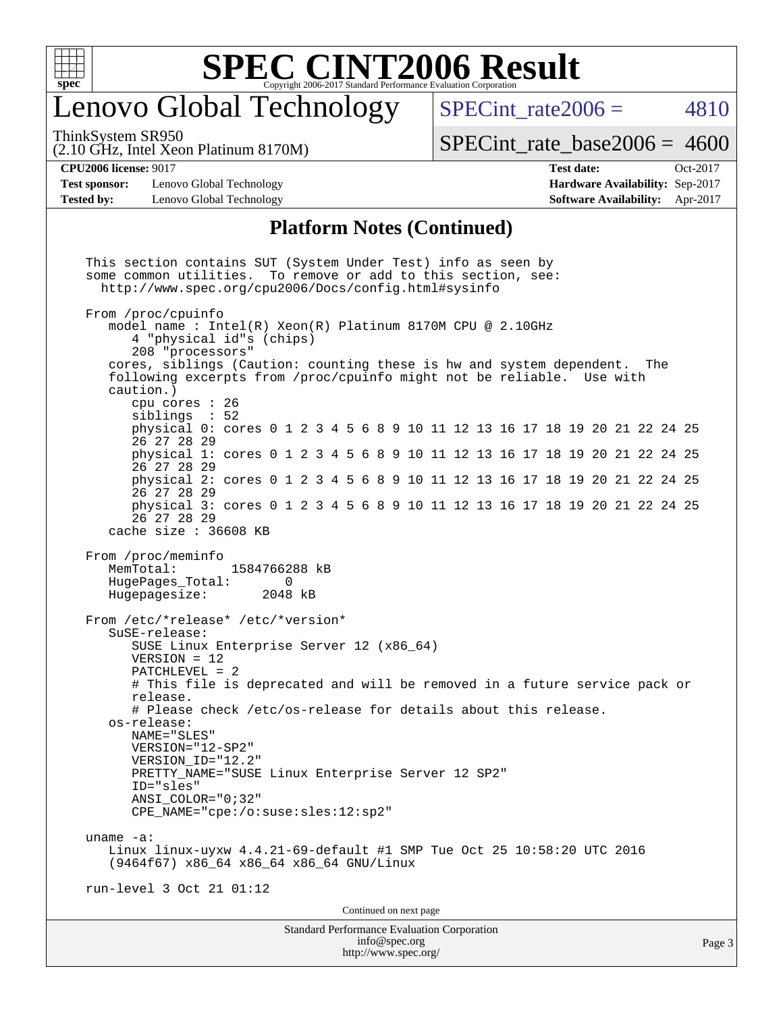

## enovo Global Technology

ThinkSystem SR950

SPECint rate $2006 = 4810$ 

(2.10 GHz, Intel Xeon Platinum 8170M)

 $SPECint_rate_base2006 = 4600$  $SPECint_rate_base2006 = 4600$ 

**[Test sponsor:](http://www.spec.org/auto/cpu2006/Docs/result-fields.html#Testsponsor)** Lenovo Global Technology **[Hardware Availability:](http://www.spec.org/auto/cpu2006/Docs/result-fields.html#HardwareAvailability)** Sep-2017 **[Tested by:](http://www.spec.org/auto/cpu2006/Docs/result-fields.html#Testedby)** Lenovo Global Technology **[Software Availability:](http://www.spec.org/auto/cpu2006/Docs/result-fields.html#SoftwareAvailability)** Apr-2017

**[CPU2006 license:](http://www.spec.org/auto/cpu2006/Docs/result-fields.html#CPU2006license)** 9017 **[Test date:](http://www.spec.org/auto/cpu2006/Docs/result-fields.html#Testdate)** Oct-2017

#### **[Platform Notes \(Continued\)](http://www.spec.org/auto/cpu2006/Docs/result-fields.html#PlatformNotes)**

Standard Performance Evaluation Corporation [info@spec.org](mailto:info@spec.org) Page 3 This section contains SUT (System Under Test) info as seen by some common utilities. To remove or add to this section, see: <http://www.spec.org/cpu2006/Docs/config.html#sysinfo> From /proc/cpuinfo model name : Intel(R) Xeon(R) Platinum 8170M CPU @ 2.10GHz 4 "physical id"s (chips) 208 "processors" cores, siblings (Caution: counting these is hw and system dependent. The following excerpts from /proc/cpuinfo might not be reliable. Use with caution.) cpu cores : 26 siblings : 52 physical 0: cores 0 1 2 3 4 5 6 8 9 10 11 12 13 16 17 18 19 20 21 22 24 25 26 27 28 29 physical 1: cores 0 1 2 3 4 5 6 8 9 10 11 12 13 16 17 18 19 20 21 22 24 25 26 27 28 29 physical 2: cores 0 1 2 3 4 5 6 8 9 10 11 12 13 16 17 18 19 20 21 22 24 25 26 27 28 29 physical 3: cores 0 1 2 3 4 5 6 8 9 10 11 12 13 16 17 18 19 20 21 22 24 25 26 27 28 29 cache size : 36608 KB From /proc/meminfo<br>MemTotal: 1584766288 kB HugePages\_Total: 0<br>Hugepagesize: 2048 kB Hugepagesize: From /etc/\*release\* /etc/\*version\* SuSE-release: SUSE Linux Enterprise Server 12 (x86\_64) VERSION = 12 PATCHLEVEL = 2 # This file is deprecated and will be removed in a future service pack or release. # Please check /etc/os-release for details about this release. os-release: NAME="SLES" VERSION="12-SP2" VERSION\_ID="12.2" PRETTY\_NAME="SUSE Linux Enterprise Server 12 SP2" ID="sles" ANSI\_COLOR="0;32" CPE\_NAME="cpe:/o:suse:sles:12:sp2" uname -a: Linux linux-uyxw 4.4.21-69-default #1 SMP Tue Oct 25 10:58:20 UTC 2016 (9464f67) x86\_64 x86\_64 x86\_64 GNU/Linux run-level 3 Oct 21 01:12 Continued on next page

<http://www.spec.org/>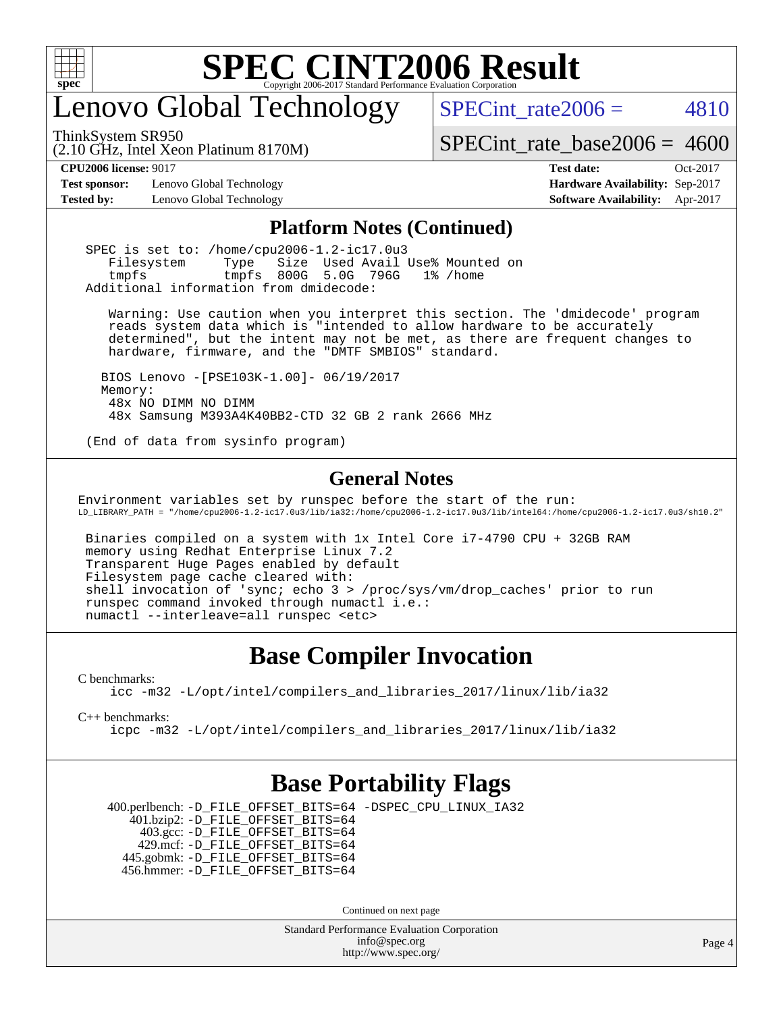

## enovo Global Technology

ThinkSystem SR950

SPECint rate $2006 = 4810$ 

(2.10 GHz, Intel Xeon Platinum 8170M) [SPECint\\_rate\\_base2006 =](http://www.spec.org/auto/cpu2006/Docs/result-fields.html#SPECintratebase2006) 4600

**[Test sponsor:](http://www.spec.org/auto/cpu2006/Docs/result-fields.html#Testsponsor)** Lenovo Global Technology **[Hardware Availability:](http://www.spec.org/auto/cpu2006/Docs/result-fields.html#HardwareAvailability)** Sep-2017 **[Tested by:](http://www.spec.org/auto/cpu2006/Docs/result-fields.html#Testedby)** Lenovo Global Technology **[Software Availability:](http://www.spec.org/auto/cpu2006/Docs/result-fields.html#SoftwareAvailability)** Apr-2017

**[CPU2006 license:](http://www.spec.org/auto/cpu2006/Docs/result-fields.html#CPU2006license)** 9017 **[Test date:](http://www.spec.org/auto/cpu2006/Docs/result-fields.html#Testdate)** Oct-2017

#### **[Platform Notes \(Continued\)](http://www.spec.org/auto/cpu2006/Docs/result-fields.html#PlatformNotes)**

 SPEC is set to: /home/cpu2006-1.2-ic17.0u3 Filesystem Type Size Used Avail Use% Mounted on tmpfs tmpfs 800G 5.0G 796G 1% /home Additional information from dmidecode:

 Warning: Use caution when you interpret this section. The 'dmidecode' program reads system data which is "intended to allow hardware to be accurately determined", but the intent may not be met, as there are frequent changes to hardware, firmware, and the "DMTF SMBIOS" standard.

 BIOS Lenovo -[PSE103K-1.00]- 06/19/2017 Memory: 48x NO DIMM NO DIMM 48x Samsung M393A4K40BB2-CTD 32 GB 2 rank 2666 MHz

(End of data from sysinfo program)

#### **[General Notes](http://www.spec.org/auto/cpu2006/Docs/result-fields.html#GeneralNotes)**

Environment variables set by runspec before the start of the run: LD\_LIBRARY\_PATH = "/home/cpu2006-1.2-ic17.0u3/lib/ia32:/home/cpu2006-1.2-ic17.0u3/lib/intel64:/home/cpu2006-1.2-ic17.0u3/sh10.2"

 Binaries compiled on a system with 1x Intel Core i7-4790 CPU + 32GB RAM memory using Redhat Enterprise Linux 7.2 Transparent Huge Pages enabled by default Filesystem page cache cleared with: shell invocation of 'sync; echo 3 > /proc/sys/vm/drop\_caches' prior to run runspec command invoked through numactl i.e.: numactl --interleave=all runspec <etc>

### **[Base Compiler Invocation](http://www.spec.org/auto/cpu2006/Docs/result-fields.html#BaseCompilerInvocation)**

[C benchmarks](http://www.spec.org/auto/cpu2006/Docs/result-fields.html#Cbenchmarks):

[icc -m32 -L/opt/intel/compilers\\_and\\_libraries\\_2017/linux/lib/ia32](http://www.spec.org/cpu2006/results/res2017q4/cpu2006-20171031-50398.flags.html#user_CCbase_intel_icc_c29f3ff5a7ed067b11e4ec10a03f03ae)

[C++ benchmarks:](http://www.spec.org/auto/cpu2006/Docs/result-fields.html#CXXbenchmarks)

[icpc -m32 -L/opt/intel/compilers\\_and\\_libraries\\_2017/linux/lib/ia32](http://www.spec.org/cpu2006/results/res2017q4/cpu2006-20171031-50398.flags.html#user_CXXbase_intel_icpc_8c35c7808b62dab9ae41a1aa06361b6b)

### **[Base Portability Flags](http://www.spec.org/auto/cpu2006/Docs/result-fields.html#BasePortabilityFlags)**

 400.perlbench: [-D\\_FILE\\_OFFSET\\_BITS=64](http://www.spec.org/cpu2006/results/res2017q4/cpu2006-20171031-50398.flags.html#user_basePORTABILITY400_perlbench_file_offset_bits_64_438cf9856305ebd76870a2c6dc2689ab) [-DSPEC\\_CPU\\_LINUX\\_IA32](http://www.spec.org/cpu2006/results/res2017q4/cpu2006-20171031-50398.flags.html#b400.perlbench_baseCPORTABILITY_DSPEC_CPU_LINUX_IA32) 401.bzip2: [-D\\_FILE\\_OFFSET\\_BITS=64](http://www.spec.org/cpu2006/results/res2017q4/cpu2006-20171031-50398.flags.html#user_basePORTABILITY401_bzip2_file_offset_bits_64_438cf9856305ebd76870a2c6dc2689ab) 403.gcc: [-D\\_FILE\\_OFFSET\\_BITS=64](http://www.spec.org/cpu2006/results/res2017q4/cpu2006-20171031-50398.flags.html#user_basePORTABILITY403_gcc_file_offset_bits_64_438cf9856305ebd76870a2c6dc2689ab) 429.mcf: [-D\\_FILE\\_OFFSET\\_BITS=64](http://www.spec.org/cpu2006/results/res2017q4/cpu2006-20171031-50398.flags.html#user_basePORTABILITY429_mcf_file_offset_bits_64_438cf9856305ebd76870a2c6dc2689ab) 445.gobmk: [-D\\_FILE\\_OFFSET\\_BITS=64](http://www.spec.org/cpu2006/results/res2017q4/cpu2006-20171031-50398.flags.html#user_basePORTABILITY445_gobmk_file_offset_bits_64_438cf9856305ebd76870a2c6dc2689ab) 456.hmmer: [-D\\_FILE\\_OFFSET\\_BITS=64](http://www.spec.org/cpu2006/results/res2017q4/cpu2006-20171031-50398.flags.html#user_basePORTABILITY456_hmmer_file_offset_bits_64_438cf9856305ebd76870a2c6dc2689ab)

Continued on next page

Standard Performance Evaluation Corporation [info@spec.org](mailto:info@spec.org) <http://www.spec.org/>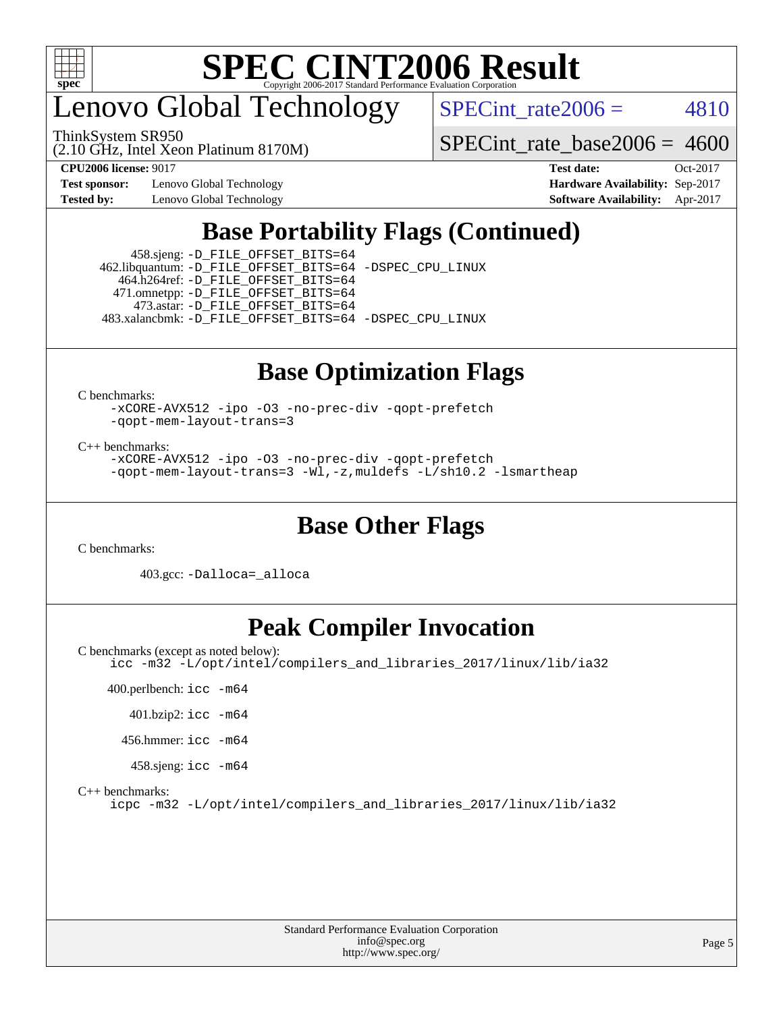

enovo Global Technology

(2.10 GHz, Intel Xeon Platinum 8170M) ThinkSystem SR950

SPECint rate $2006 = 4810$ 

[SPECint\\_rate\\_base2006 =](http://www.spec.org/auto/cpu2006/Docs/result-fields.html#SPECintratebase2006) 4600

**[Test sponsor:](http://www.spec.org/auto/cpu2006/Docs/result-fields.html#Testsponsor)** Lenovo Global Technology **[Hardware Availability:](http://www.spec.org/auto/cpu2006/Docs/result-fields.html#HardwareAvailability)** Sep-2017

**[CPU2006 license:](http://www.spec.org/auto/cpu2006/Docs/result-fields.html#CPU2006license)** 9017 **[Test date:](http://www.spec.org/auto/cpu2006/Docs/result-fields.html#Testdate)** Oct-2017 **[Tested by:](http://www.spec.org/auto/cpu2006/Docs/result-fields.html#Testedby)** Lenovo Global Technology **[Software Availability:](http://www.spec.org/auto/cpu2006/Docs/result-fields.html#SoftwareAvailability)** Apr-2017

## **[Base Portability Flags \(Continued\)](http://www.spec.org/auto/cpu2006/Docs/result-fields.html#BasePortabilityFlags)**

 458.sjeng: [-D\\_FILE\\_OFFSET\\_BITS=64](http://www.spec.org/cpu2006/results/res2017q4/cpu2006-20171031-50398.flags.html#user_basePORTABILITY458_sjeng_file_offset_bits_64_438cf9856305ebd76870a2c6dc2689ab) 462.libquantum: [-D\\_FILE\\_OFFSET\\_BITS=64](http://www.spec.org/cpu2006/results/res2017q4/cpu2006-20171031-50398.flags.html#user_basePORTABILITY462_libquantum_file_offset_bits_64_438cf9856305ebd76870a2c6dc2689ab) [-DSPEC\\_CPU\\_LINUX](http://www.spec.org/cpu2006/results/res2017q4/cpu2006-20171031-50398.flags.html#b462.libquantum_baseCPORTABILITY_DSPEC_CPU_LINUX) 464.h264ref: [-D\\_FILE\\_OFFSET\\_BITS=64](http://www.spec.org/cpu2006/results/res2017q4/cpu2006-20171031-50398.flags.html#user_basePORTABILITY464_h264ref_file_offset_bits_64_438cf9856305ebd76870a2c6dc2689ab) 471.omnetpp: [-D\\_FILE\\_OFFSET\\_BITS=64](http://www.spec.org/cpu2006/results/res2017q4/cpu2006-20171031-50398.flags.html#user_basePORTABILITY471_omnetpp_file_offset_bits_64_438cf9856305ebd76870a2c6dc2689ab) 473.astar: [-D\\_FILE\\_OFFSET\\_BITS=64](http://www.spec.org/cpu2006/results/res2017q4/cpu2006-20171031-50398.flags.html#user_basePORTABILITY473_astar_file_offset_bits_64_438cf9856305ebd76870a2c6dc2689ab) 483.xalancbmk: [-D\\_FILE\\_OFFSET\\_BITS=64](http://www.spec.org/cpu2006/results/res2017q4/cpu2006-20171031-50398.flags.html#user_basePORTABILITY483_xalancbmk_file_offset_bits_64_438cf9856305ebd76870a2c6dc2689ab) [-DSPEC\\_CPU\\_LINUX](http://www.spec.org/cpu2006/results/res2017q4/cpu2006-20171031-50398.flags.html#b483.xalancbmk_baseCXXPORTABILITY_DSPEC_CPU_LINUX)

## **[Base Optimization Flags](http://www.spec.org/auto/cpu2006/Docs/result-fields.html#BaseOptimizationFlags)**

[C benchmarks](http://www.spec.org/auto/cpu2006/Docs/result-fields.html#Cbenchmarks):

[-xCORE-AVX512](http://www.spec.org/cpu2006/results/res2017q4/cpu2006-20171031-50398.flags.html#user_CCbase_f-xCORE-AVX512) [-ipo](http://www.spec.org/cpu2006/results/res2017q4/cpu2006-20171031-50398.flags.html#user_CCbase_f-ipo) [-O3](http://www.spec.org/cpu2006/results/res2017q4/cpu2006-20171031-50398.flags.html#user_CCbase_f-O3) [-no-prec-div](http://www.spec.org/cpu2006/results/res2017q4/cpu2006-20171031-50398.flags.html#user_CCbase_f-no-prec-div) [-qopt-prefetch](http://www.spec.org/cpu2006/results/res2017q4/cpu2006-20171031-50398.flags.html#user_CCbase_f-qopt-prefetch) [-qopt-mem-layout-trans=3](http://www.spec.org/cpu2006/results/res2017q4/cpu2006-20171031-50398.flags.html#user_CCbase_f-qopt-mem-layout-trans_170f5be61cd2cedc9b54468c59262d5d)

[C++ benchmarks:](http://www.spec.org/auto/cpu2006/Docs/result-fields.html#CXXbenchmarks)

[-xCORE-AVX512](http://www.spec.org/cpu2006/results/res2017q4/cpu2006-20171031-50398.flags.html#user_CXXbase_f-xCORE-AVX512) [-ipo](http://www.spec.org/cpu2006/results/res2017q4/cpu2006-20171031-50398.flags.html#user_CXXbase_f-ipo) [-O3](http://www.spec.org/cpu2006/results/res2017q4/cpu2006-20171031-50398.flags.html#user_CXXbase_f-O3) [-no-prec-div](http://www.spec.org/cpu2006/results/res2017q4/cpu2006-20171031-50398.flags.html#user_CXXbase_f-no-prec-div) [-qopt-prefetch](http://www.spec.org/cpu2006/results/res2017q4/cpu2006-20171031-50398.flags.html#user_CXXbase_f-qopt-prefetch) [-qopt-mem-layout-trans=3](http://www.spec.org/cpu2006/results/res2017q4/cpu2006-20171031-50398.flags.html#user_CXXbase_f-qopt-mem-layout-trans_170f5be61cd2cedc9b54468c59262d5d) [-Wl,-z,muldefs](http://www.spec.org/cpu2006/results/res2017q4/cpu2006-20171031-50398.flags.html#user_CXXbase_link_force_multiple1_74079c344b956b9658436fd1b6dd3a8a) [-L/sh10.2 -lsmartheap](http://www.spec.org/cpu2006/results/res2017q4/cpu2006-20171031-50398.flags.html#user_CXXbase_SmartHeap_b831f2d313e2fffa6dfe3f00ffc1f1c0)

### **[Base Other Flags](http://www.spec.org/auto/cpu2006/Docs/result-fields.html#BaseOtherFlags)**

[C benchmarks](http://www.spec.org/auto/cpu2006/Docs/result-fields.html#Cbenchmarks):

403.gcc: [-Dalloca=\\_alloca](http://www.spec.org/cpu2006/results/res2017q4/cpu2006-20171031-50398.flags.html#b403.gcc_baseEXTRA_CFLAGS_Dalloca_be3056838c12de2578596ca5467af7f3)

### **[Peak Compiler Invocation](http://www.spec.org/auto/cpu2006/Docs/result-fields.html#PeakCompilerInvocation)**

[C benchmarks \(except as noted below\)](http://www.spec.org/auto/cpu2006/Docs/result-fields.html#Cbenchmarksexceptasnotedbelow): [icc -m32 -L/opt/intel/compilers\\_and\\_libraries\\_2017/linux/lib/ia32](http://www.spec.org/cpu2006/results/res2017q4/cpu2006-20171031-50398.flags.html#user_CCpeak_intel_icc_c29f3ff5a7ed067b11e4ec10a03f03ae)

 400.perlbench: [icc -m64](http://www.spec.org/cpu2006/results/res2017q4/cpu2006-20171031-50398.flags.html#user_peakCCLD400_perlbench_intel_icc_64bit_bda6cc9af1fdbb0edc3795bac97ada53) 401.bzip2: [icc -m64](http://www.spec.org/cpu2006/results/res2017q4/cpu2006-20171031-50398.flags.html#user_peakCCLD401_bzip2_intel_icc_64bit_bda6cc9af1fdbb0edc3795bac97ada53) 456.hmmer: [icc -m64](http://www.spec.org/cpu2006/results/res2017q4/cpu2006-20171031-50398.flags.html#user_peakCCLD456_hmmer_intel_icc_64bit_bda6cc9af1fdbb0edc3795bac97ada53) 458.sjeng: [icc -m64](http://www.spec.org/cpu2006/results/res2017q4/cpu2006-20171031-50398.flags.html#user_peakCCLD458_sjeng_intel_icc_64bit_bda6cc9af1fdbb0edc3795bac97ada53)

[C++ benchmarks:](http://www.spec.org/auto/cpu2006/Docs/result-fields.html#CXXbenchmarks)

[icpc -m32 -L/opt/intel/compilers\\_and\\_libraries\\_2017/linux/lib/ia32](http://www.spec.org/cpu2006/results/res2017q4/cpu2006-20171031-50398.flags.html#user_CXXpeak_intel_icpc_8c35c7808b62dab9ae41a1aa06361b6b)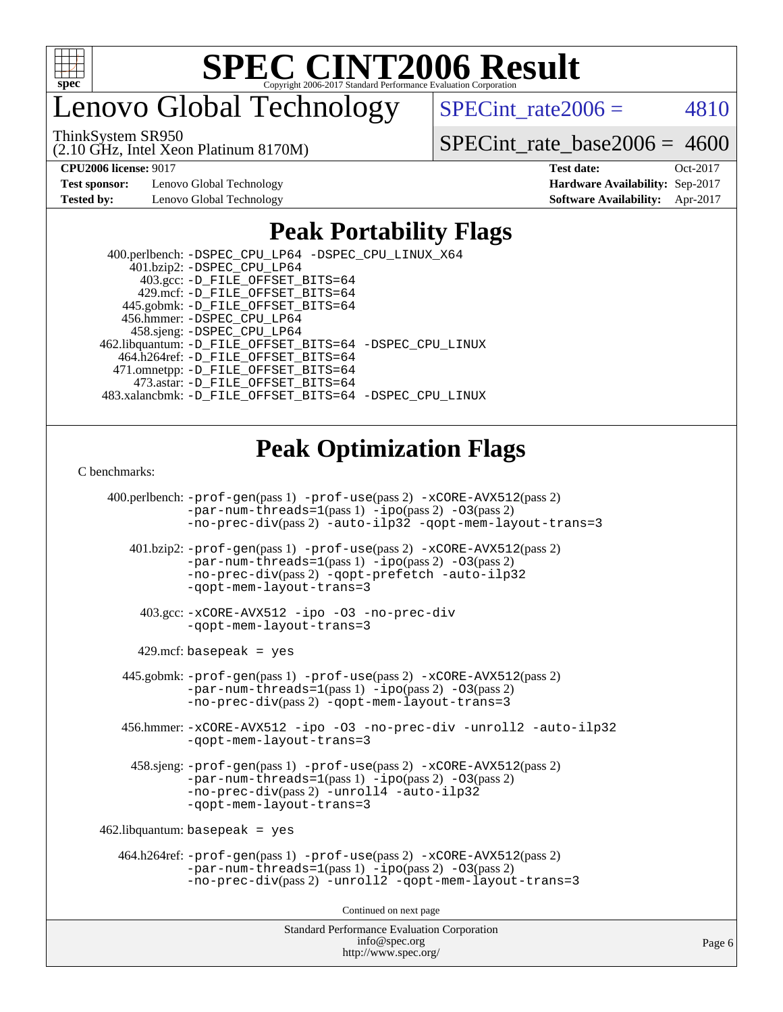

enovo Global Technology

ThinkSystem SR950

(2.10 GHz, Intel Xeon Platinum 8170M)

SPECint rate $2006 = 4810$ 

[SPECint\\_rate\\_base2006 =](http://www.spec.org/auto/cpu2006/Docs/result-fields.html#SPECintratebase2006) 4600

**[Test sponsor:](http://www.spec.org/auto/cpu2006/Docs/result-fields.html#Testsponsor)** Lenovo Global Technology **[Hardware Availability:](http://www.spec.org/auto/cpu2006/Docs/result-fields.html#HardwareAvailability)** Sep-2017

**[CPU2006 license:](http://www.spec.org/auto/cpu2006/Docs/result-fields.html#CPU2006license)** 9017 **[Test date:](http://www.spec.org/auto/cpu2006/Docs/result-fields.html#Testdate)** Oct-2017 **[Tested by:](http://www.spec.org/auto/cpu2006/Docs/result-fields.html#Testedby)** Lenovo Global Technology **[Software Availability:](http://www.spec.org/auto/cpu2006/Docs/result-fields.html#SoftwareAvailability)** Apr-2017

### **[Peak Portability Flags](http://www.spec.org/auto/cpu2006/Docs/result-fields.html#PeakPortabilityFlags)**

 400.perlbench: [-DSPEC\\_CPU\\_LP64](http://www.spec.org/cpu2006/results/res2017q4/cpu2006-20171031-50398.flags.html#b400.perlbench_peakCPORTABILITY_DSPEC_CPU_LP64) [-DSPEC\\_CPU\\_LINUX\\_X64](http://www.spec.org/cpu2006/results/res2017q4/cpu2006-20171031-50398.flags.html#b400.perlbench_peakCPORTABILITY_DSPEC_CPU_LINUX_X64) 401.bzip2: [-DSPEC\\_CPU\\_LP64](http://www.spec.org/cpu2006/results/res2017q4/cpu2006-20171031-50398.flags.html#suite_peakCPORTABILITY401_bzip2_DSPEC_CPU_LP64) 403.gcc: [-D\\_FILE\\_OFFSET\\_BITS=64](http://www.spec.org/cpu2006/results/res2017q4/cpu2006-20171031-50398.flags.html#user_peakPORTABILITY403_gcc_file_offset_bits_64_438cf9856305ebd76870a2c6dc2689ab) 429.mcf: [-D\\_FILE\\_OFFSET\\_BITS=64](http://www.spec.org/cpu2006/results/res2017q4/cpu2006-20171031-50398.flags.html#user_peakPORTABILITY429_mcf_file_offset_bits_64_438cf9856305ebd76870a2c6dc2689ab) 445.gobmk: [-D\\_FILE\\_OFFSET\\_BITS=64](http://www.spec.org/cpu2006/results/res2017q4/cpu2006-20171031-50398.flags.html#user_peakPORTABILITY445_gobmk_file_offset_bits_64_438cf9856305ebd76870a2c6dc2689ab) 456.hmmer: [-DSPEC\\_CPU\\_LP64](http://www.spec.org/cpu2006/results/res2017q4/cpu2006-20171031-50398.flags.html#suite_peakCPORTABILITY456_hmmer_DSPEC_CPU_LP64) 458.sjeng: [-DSPEC\\_CPU\\_LP64](http://www.spec.org/cpu2006/results/res2017q4/cpu2006-20171031-50398.flags.html#suite_peakCPORTABILITY458_sjeng_DSPEC_CPU_LP64) 462.libquantum: [-D\\_FILE\\_OFFSET\\_BITS=64](http://www.spec.org/cpu2006/results/res2017q4/cpu2006-20171031-50398.flags.html#user_peakPORTABILITY462_libquantum_file_offset_bits_64_438cf9856305ebd76870a2c6dc2689ab) [-DSPEC\\_CPU\\_LINUX](http://www.spec.org/cpu2006/results/res2017q4/cpu2006-20171031-50398.flags.html#b462.libquantum_peakCPORTABILITY_DSPEC_CPU_LINUX) 464.h264ref: [-D\\_FILE\\_OFFSET\\_BITS=64](http://www.spec.org/cpu2006/results/res2017q4/cpu2006-20171031-50398.flags.html#user_peakPORTABILITY464_h264ref_file_offset_bits_64_438cf9856305ebd76870a2c6dc2689ab) 471.omnetpp: [-D\\_FILE\\_OFFSET\\_BITS=64](http://www.spec.org/cpu2006/results/res2017q4/cpu2006-20171031-50398.flags.html#user_peakPORTABILITY471_omnetpp_file_offset_bits_64_438cf9856305ebd76870a2c6dc2689ab) 473.astar: [-D\\_FILE\\_OFFSET\\_BITS=64](http://www.spec.org/cpu2006/results/res2017q4/cpu2006-20171031-50398.flags.html#user_peakPORTABILITY473_astar_file_offset_bits_64_438cf9856305ebd76870a2c6dc2689ab) 483.xalancbmk: [-D\\_FILE\\_OFFSET\\_BITS=64](http://www.spec.org/cpu2006/results/res2017q4/cpu2006-20171031-50398.flags.html#user_peakPORTABILITY483_xalancbmk_file_offset_bits_64_438cf9856305ebd76870a2c6dc2689ab) [-DSPEC\\_CPU\\_LINUX](http://www.spec.org/cpu2006/results/res2017q4/cpu2006-20171031-50398.flags.html#b483.xalancbmk_peakCXXPORTABILITY_DSPEC_CPU_LINUX)

### **[Peak Optimization Flags](http://www.spec.org/auto/cpu2006/Docs/result-fields.html#PeakOptimizationFlags)**

[C benchmarks](http://www.spec.org/auto/cpu2006/Docs/result-fields.html#Cbenchmarks):

Standard Performance Evaluation Corporation 400.perlbench: [-prof-gen](http://www.spec.org/cpu2006/results/res2017q4/cpu2006-20171031-50398.flags.html#user_peakPASS1_CFLAGSPASS1_LDCFLAGS400_perlbench_prof_gen_e43856698f6ca7b7e442dfd80e94a8fc)(pass 1) [-prof-use](http://www.spec.org/cpu2006/results/res2017q4/cpu2006-20171031-50398.flags.html#user_peakPASS2_CFLAGSPASS2_LDCFLAGS400_perlbench_prof_use_bccf7792157ff70d64e32fe3e1250b55)(pass 2) [-xCORE-AVX512](http://www.spec.org/cpu2006/results/res2017q4/cpu2006-20171031-50398.flags.html#user_peakPASS2_CFLAGSPASS2_LDCFLAGS400_perlbench_f-xCORE-AVX512)(pass 2) [-par-num-threads=1](http://www.spec.org/cpu2006/results/res2017q4/cpu2006-20171031-50398.flags.html#user_peakPASS1_CFLAGSPASS1_LDCFLAGS400_perlbench_par_num_threads_786a6ff141b4e9e90432e998842df6c2)(pass 1) [-ipo](http://www.spec.org/cpu2006/results/res2017q4/cpu2006-20171031-50398.flags.html#user_peakPASS2_CFLAGSPASS2_LDCFLAGS400_perlbench_f-ipo)(pass 2) [-O3](http://www.spec.org/cpu2006/results/res2017q4/cpu2006-20171031-50398.flags.html#user_peakPASS2_CFLAGSPASS2_LDCFLAGS400_perlbench_f-O3)(pass 2) [-no-prec-div](http://www.spec.org/cpu2006/results/res2017q4/cpu2006-20171031-50398.flags.html#user_peakPASS2_CFLAGSPASS2_LDCFLAGS400_perlbench_f-no-prec-div)(pass 2) [-auto-ilp32](http://www.spec.org/cpu2006/results/res2017q4/cpu2006-20171031-50398.flags.html#user_peakCOPTIMIZE400_perlbench_f-auto-ilp32) [-qopt-mem-layout-trans=3](http://www.spec.org/cpu2006/results/res2017q4/cpu2006-20171031-50398.flags.html#user_peakCOPTIMIZE400_perlbench_f-qopt-mem-layout-trans_170f5be61cd2cedc9b54468c59262d5d) 401.bzip2: [-prof-gen](http://www.spec.org/cpu2006/results/res2017q4/cpu2006-20171031-50398.flags.html#user_peakPASS1_CFLAGSPASS1_LDCFLAGS401_bzip2_prof_gen_e43856698f6ca7b7e442dfd80e94a8fc)(pass 1) [-prof-use](http://www.spec.org/cpu2006/results/res2017q4/cpu2006-20171031-50398.flags.html#user_peakPASS2_CFLAGSPASS2_LDCFLAGS401_bzip2_prof_use_bccf7792157ff70d64e32fe3e1250b55)(pass 2) [-xCORE-AVX512](http://www.spec.org/cpu2006/results/res2017q4/cpu2006-20171031-50398.flags.html#user_peakPASS2_CFLAGSPASS2_LDCFLAGS401_bzip2_f-xCORE-AVX512)(pass 2) [-par-num-threads=1](http://www.spec.org/cpu2006/results/res2017q4/cpu2006-20171031-50398.flags.html#user_peakPASS1_CFLAGSPASS1_LDCFLAGS401_bzip2_par_num_threads_786a6ff141b4e9e90432e998842df6c2)(pass 1) [-ipo](http://www.spec.org/cpu2006/results/res2017q4/cpu2006-20171031-50398.flags.html#user_peakPASS2_CFLAGSPASS2_LDCFLAGS401_bzip2_f-ipo)(pass 2) [-O3](http://www.spec.org/cpu2006/results/res2017q4/cpu2006-20171031-50398.flags.html#user_peakPASS2_CFLAGSPASS2_LDCFLAGS401_bzip2_f-O3)(pass 2) [-no-prec-div](http://www.spec.org/cpu2006/results/res2017q4/cpu2006-20171031-50398.flags.html#user_peakPASS2_CFLAGSPASS2_LDCFLAGS401_bzip2_f-no-prec-div)(pass 2) [-qopt-prefetch](http://www.spec.org/cpu2006/results/res2017q4/cpu2006-20171031-50398.flags.html#user_peakCOPTIMIZE401_bzip2_f-qopt-prefetch) [-auto-ilp32](http://www.spec.org/cpu2006/results/res2017q4/cpu2006-20171031-50398.flags.html#user_peakCOPTIMIZE401_bzip2_f-auto-ilp32) [-qopt-mem-layout-trans=3](http://www.spec.org/cpu2006/results/res2017q4/cpu2006-20171031-50398.flags.html#user_peakCOPTIMIZE401_bzip2_f-qopt-mem-layout-trans_170f5be61cd2cedc9b54468c59262d5d) 403.gcc: [-xCORE-AVX512](http://www.spec.org/cpu2006/results/res2017q4/cpu2006-20171031-50398.flags.html#user_peakOPTIMIZE403_gcc_f-xCORE-AVX512) [-ipo](http://www.spec.org/cpu2006/results/res2017q4/cpu2006-20171031-50398.flags.html#user_peakOPTIMIZE403_gcc_f-ipo) [-O3](http://www.spec.org/cpu2006/results/res2017q4/cpu2006-20171031-50398.flags.html#user_peakOPTIMIZE403_gcc_f-O3) [-no-prec-div](http://www.spec.org/cpu2006/results/res2017q4/cpu2006-20171031-50398.flags.html#user_peakOPTIMIZE403_gcc_f-no-prec-div) [-qopt-mem-layout-trans=3](http://www.spec.org/cpu2006/results/res2017q4/cpu2006-20171031-50398.flags.html#user_peakCOPTIMIZE403_gcc_f-qopt-mem-layout-trans_170f5be61cd2cedc9b54468c59262d5d)  $429$ .mcf: basepeak = yes 445.gobmk: [-prof-gen](http://www.spec.org/cpu2006/results/res2017q4/cpu2006-20171031-50398.flags.html#user_peakPASS1_CFLAGSPASS1_LDCFLAGS445_gobmk_prof_gen_e43856698f6ca7b7e442dfd80e94a8fc)(pass 1) [-prof-use](http://www.spec.org/cpu2006/results/res2017q4/cpu2006-20171031-50398.flags.html#user_peakPASS2_CFLAGSPASS2_LDCFLAGSPASS2_LDFLAGS445_gobmk_prof_use_bccf7792157ff70d64e32fe3e1250b55)(pass 2) [-xCORE-AVX512](http://www.spec.org/cpu2006/results/res2017q4/cpu2006-20171031-50398.flags.html#user_peakPASS2_CFLAGSPASS2_LDCFLAGSPASS2_LDFLAGS445_gobmk_f-xCORE-AVX512)(pass 2) [-par-num-threads=1](http://www.spec.org/cpu2006/results/res2017q4/cpu2006-20171031-50398.flags.html#user_peakPASS1_CFLAGSPASS1_LDCFLAGS445_gobmk_par_num_threads_786a6ff141b4e9e90432e998842df6c2)(pass 1) [-ipo](http://www.spec.org/cpu2006/results/res2017q4/cpu2006-20171031-50398.flags.html#user_peakPASS2_LDCFLAGS445_gobmk_f-ipo)(pass 2) [-O3](http://www.spec.org/cpu2006/results/res2017q4/cpu2006-20171031-50398.flags.html#user_peakPASS2_LDCFLAGS445_gobmk_f-O3)(pass 2) [-no-prec-div](http://www.spec.org/cpu2006/results/res2017q4/cpu2006-20171031-50398.flags.html#user_peakPASS2_LDCFLAGS445_gobmk_f-no-prec-div)(pass 2) [-qopt-mem-layout-trans=3](http://www.spec.org/cpu2006/results/res2017q4/cpu2006-20171031-50398.flags.html#user_peakCOPTIMIZE445_gobmk_f-qopt-mem-layout-trans_170f5be61cd2cedc9b54468c59262d5d) 456.hmmer: [-xCORE-AVX512](http://www.spec.org/cpu2006/results/res2017q4/cpu2006-20171031-50398.flags.html#user_peakOPTIMIZE456_hmmer_f-xCORE-AVX512) [-ipo](http://www.spec.org/cpu2006/results/res2017q4/cpu2006-20171031-50398.flags.html#user_peakOPTIMIZE456_hmmer_f-ipo) [-O3](http://www.spec.org/cpu2006/results/res2017q4/cpu2006-20171031-50398.flags.html#user_peakOPTIMIZE456_hmmer_f-O3) [-no-prec-div](http://www.spec.org/cpu2006/results/res2017q4/cpu2006-20171031-50398.flags.html#user_peakOPTIMIZE456_hmmer_f-no-prec-div) [-unroll2](http://www.spec.org/cpu2006/results/res2017q4/cpu2006-20171031-50398.flags.html#user_peakCOPTIMIZE456_hmmer_f-unroll_784dae83bebfb236979b41d2422d7ec2) [-auto-ilp32](http://www.spec.org/cpu2006/results/res2017q4/cpu2006-20171031-50398.flags.html#user_peakCOPTIMIZE456_hmmer_f-auto-ilp32) [-qopt-mem-layout-trans=3](http://www.spec.org/cpu2006/results/res2017q4/cpu2006-20171031-50398.flags.html#user_peakCOPTIMIZE456_hmmer_f-qopt-mem-layout-trans_170f5be61cd2cedc9b54468c59262d5d) 458.sjeng: [-prof-gen](http://www.spec.org/cpu2006/results/res2017q4/cpu2006-20171031-50398.flags.html#user_peakPASS1_CFLAGSPASS1_LDCFLAGS458_sjeng_prof_gen_e43856698f6ca7b7e442dfd80e94a8fc)(pass 1) [-prof-use](http://www.spec.org/cpu2006/results/res2017q4/cpu2006-20171031-50398.flags.html#user_peakPASS2_CFLAGSPASS2_LDCFLAGS458_sjeng_prof_use_bccf7792157ff70d64e32fe3e1250b55)(pass 2) [-xCORE-AVX512](http://www.spec.org/cpu2006/results/res2017q4/cpu2006-20171031-50398.flags.html#user_peakPASS2_CFLAGSPASS2_LDCFLAGS458_sjeng_f-xCORE-AVX512)(pass 2) [-par-num-threads=1](http://www.spec.org/cpu2006/results/res2017q4/cpu2006-20171031-50398.flags.html#user_peakPASS1_CFLAGSPASS1_LDCFLAGS458_sjeng_par_num_threads_786a6ff141b4e9e90432e998842df6c2)(pass 1) [-ipo](http://www.spec.org/cpu2006/results/res2017q4/cpu2006-20171031-50398.flags.html#user_peakPASS2_CFLAGSPASS2_LDCFLAGS458_sjeng_f-ipo)(pass 2) [-O3](http://www.spec.org/cpu2006/results/res2017q4/cpu2006-20171031-50398.flags.html#user_peakPASS2_CFLAGSPASS2_LDCFLAGS458_sjeng_f-O3)(pass 2) [-no-prec-div](http://www.spec.org/cpu2006/results/res2017q4/cpu2006-20171031-50398.flags.html#user_peakPASS2_CFLAGSPASS2_LDCFLAGS458_sjeng_f-no-prec-div)(pass 2) [-unroll4](http://www.spec.org/cpu2006/results/res2017q4/cpu2006-20171031-50398.flags.html#user_peakCOPTIMIZE458_sjeng_f-unroll_4e5e4ed65b7fd20bdcd365bec371b81f) [-auto-ilp32](http://www.spec.org/cpu2006/results/res2017q4/cpu2006-20171031-50398.flags.html#user_peakCOPTIMIZE458_sjeng_f-auto-ilp32) [-qopt-mem-layout-trans=3](http://www.spec.org/cpu2006/results/res2017q4/cpu2006-20171031-50398.flags.html#user_peakCOPTIMIZE458_sjeng_f-qopt-mem-layout-trans_170f5be61cd2cedc9b54468c59262d5d)  $462$ .libquantum: basepeak = yes 464.h264ref: [-prof-gen](http://www.spec.org/cpu2006/results/res2017q4/cpu2006-20171031-50398.flags.html#user_peakPASS1_CFLAGSPASS1_LDCFLAGS464_h264ref_prof_gen_e43856698f6ca7b7e442dfd80e94a8fc)(pass 1) [-prof-use](http://www.spec.org/cpu2006/results/res2017q4/cpu2006-20171031-50398.flags.html#user_peakPASS2_CFLAGSPASS2_LDCFLAGS464_h264ref_prof_use_bccf7792157ff70d64e32fe3e1250b55)(pass 2) [-xCORE-AVX512](http://www.spec.org/cpu2006/results/res2017q4/cpu2006-20171031-50398.flags.html#user_peakPASS2_CFLAGSPASS2_LDCFLAGS464_h264ref_f-xCORE-AVX512)(pass 2)  $-par-num-threads=1(pass 1) -ipo(pass 2) -O3(pass 2)$  $-par-num-threads=1(pass 1) -ipo(pass 2) -O3(pass 2)$  $-par-num-threads=1(pass 1) -ipo(pass 2) -O3(pass 2)$  $-par-num-threads=1(pass 1) -ipo(pass 2) -O3(pass 2)$  $-par-num-threads=1(pass 1) -ipo(pass 2) -O3(pass 2)$  $-par-num-threads=1(pass 1) -ipo(pass 2) -O3(pass 2)$ [-no-prec-div](http://www.spec.org/cpu2006/results/res2017q4/cpu2006-20171031-50398.flags.html#user_peakPASS2_CFLAGSPASS2_LDCFLAGS464_h264ref_f-no-prec-div)(pass 2) [-unroll2](http://www.spec.org/cpu2006/results/res2017q4/cpu2006-20171031-50398.flags.html#user_peakCOPTIMIZE464_h264ref_f-unroll_784dae83bebfb236979b41d2422d7ec2) [-qopt-mem-layout-trans=3](http://www.spec.org/cpu2006/results/res2017q4/cpu2006-20171031-50398.flags.html#user_peakCOPTIMIZE464_h264ref_f-qopt-mem-layout-trans_170f5be61cd2cedc9b54468c59262d5d) Continued on next page

[info@spec.org](mailto:info@spec.org) <http://www.spec.org/>